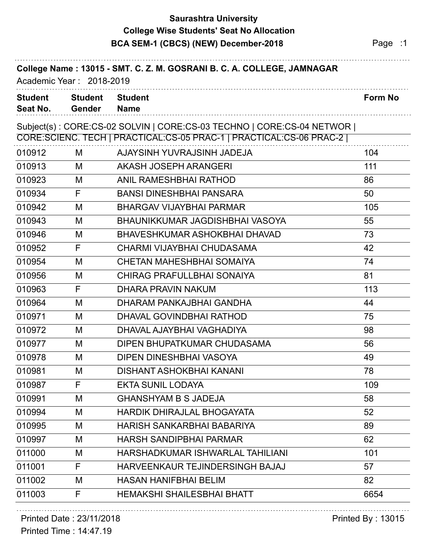## **Saurashtra University BCA SEM-1 (CBCS) (NEW) December-2018** Page :1 **College Wise Students' Seat No Allocation**

| College Name: 13015 - SMT. C. Z. M. GOSRANI B. C. A. COLLEGE, JAMNAGAR<br>Academic Year: 2018-2019 |                                 |                                                                       |                |  |
|----------------------------------------------------------------------------------------------------|---------------------------------|-----------------------------------------------------------------------|----------------|--|
| <b>Student</b><br>Seat No.                                                                         | <b>Student</b><br><b>Gender</b> | <b>Student</b><br><b>Name</b>                                         | <b>Form No</b> |  |
|                                                                                                    |                                 | Subject(s): CORE:CS-02 SOLVIN   CORE:CS-03 TECHNO   CORE:CS-04 NETWOR |                |  |
|                                                                                                    |                                 | CORE:SCIENC. TECH   PRACTICAL:CS-05 PRAC-1   PRACTICAL:CS-06 PRAC-2   |                |  |
| 010912                                                                                             | M                               | AJAYSINH YUVRAJSINH JADEJA                                            | 104            |  |
| 010913                                                                                             | M                               | AKASH JOSEPH ARANGERI                                                 | 111            |  |
| 010923                                                                                             | M                               | <b>ANIL RAMESHBHAI RATHOD</b>                                         | 86             |  |
| 010934                                                                                             | F                               | <b>BANSI DINESHBHAI PANSARA</b>                                       | 50             |  |
| 010942                                                                                             | M                               | <b>BHARGAV VIJAYBHAI PARMAR</b>                                       | 105            |  |
| 010943                                                                                             | M                               | BHAUNIKKUMAR JAGDISHBHAI VASOYA                                       | 55             |  |
| 010946                                                                                             | M                               | BHAVESHKUMAR ASHOKBHAI DHAVAD                                         | 73             |  |
| 010952                                                                                             | F                               | CHARMI VIJAYBHAI CHUDASAMA                                            | 42             |  |
| 010954                                                                                             | M                               | <b>CHETAN MAHESHBHAI SOMAIYA</b>                                      | 74             |  |
| 010956                                                                                             | M                               | <b>CHIRAG PRAFULLBHAI SONAIYA</b>                                     | 81             |  |
| 010963                                                                                             | F                               | DHARA PRAVIN NAKUM                                                    | 113            |  |
| 010964                                                                                             | M                               | DHARAM PANKAJBHAI GANDHA                                              | 44             |  |
| 010971                                                                                             | M                               | DHAVAL GOVINDBHAI RATHOD                                              | 75             |  |
| 010972                                                                                             | M                               | DHAVAL AJAYBHAI VAGHADIYA                                             | 98             |  |
| 010977                                                                                             | M                               | DIPEN BHUPATKUMAR CHUDASAMA                                           | 56             |  |
| 010978                                                                                             | M                               | DIPEN DINESHBHAI VASOYA                                               | 49             |  |
| 010981                                                                                             | M                               | <b>DISHANT ASHOKBHAI KANANI</b>                                       | 78             |  |
| 010987                                                                                             | F                               | <b>EKTA SUNIL LODAYA</b>                                              | 109            |  |
| 010991                                                                                             | M                               | <b>GHANSHYAM B S JADEJA</b>                                           | 58             |  |
| 010994                                                                                             | M                               | <b>HARDIK DHIRAJLAL BHOGAYATA</b>                                     | 52             |  |
| 010995                                                                                             | M                               | HARISH SANKARBHAI BABARIYA                                            | 89             |  |
| 010997                                                                                             | M                               | <b>HARSH SANDIPBHAI PARMAR</b>                                        | 62             |  |
| 011000                                                                                             | M                               | HARSHADKUMAR ISHWARLAL TAHILIANI                                      | 101            |  |
| 011001                                                                                             | F                               | HARVEENKAUR TEJINDERSINGH BAJAJ                                       | 57             |  |
| 011002                                                                                             | M                               | <b>HASAN HANIFBHAI BELIM</b>                                          | 82             |  |
| 011003                                                                                             | F.                              | <b>HEMAKSHI SHAILESBHAI BHATT</b>                                     | 6654           |  |

### Printed Date : 23/11/2018 **Printed By : 13015**

Printed Time : 14:47.19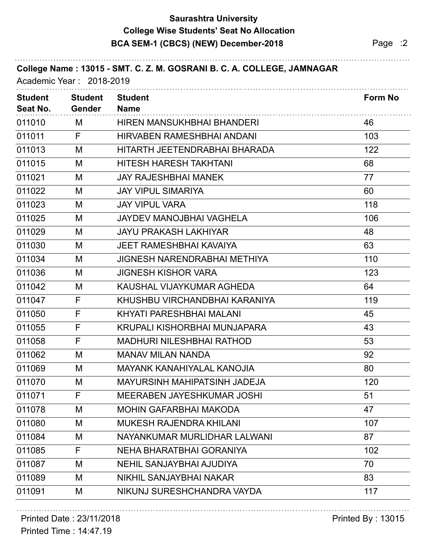## **Saurashtra University BCA SEM-1 (CBCS) (NEW) December-2018** Page :2 **College Wise Students' Seat No Allocation**

| College Name: 13015 - SMT. C. Z. M. GOSRANI B. C. A. COLLEGE, JAMNAGAR<br>Academic Year: 2018-2019 |                                 |                                     |         |
|----------------------------------------------------------------------------------------------------|---------------------------------|-------------------------------------|---------|
| <b>Student</b><br>Seat No.                                                                         | <b>Student</b><br><b>Gender</b> | <b>Student</b><br><b>Name</b>       | Form No |
| 011010                                                                                             | M                               | HIREN MANSUKHBHAI BHANDERI          | 46      |
| 011011                                                                                             | F                               | HIRVABEN RAMESHBHAI ANDANI          | 103     |
| 011013                                                                                             | M                               | HITARTH JEETENDRABHAI BHARADA       | 122     |
| 011015                                                                                             | M                               | HITESH HARESH TAKHTANI              | 68      |
| 011021                                                                                             | M                               | <b>JAY RAJESHBHAI MANEK</b>         | 77      |
| 011022                                                                                             | M                               | <b>JAY VIPUL SIMARIYA</b>           | 60      |
| 011023                                                                                             | M                               | <b>JAY VIPUL VARA</b>               | 118     |
| 011025                                                                                             | M                               | <b>JAYDEV MANOJBHAI VAGHELA</b>     | 106     |
| 011029                                                                                             | M                               | <b>JAYU PRAKASH LAKHIYAR</b>        | 48      |
| 011030                                                                                             | M                               | <b>JEET RAMESHBHAI KAVAIYA</b>      | 63      |
| 011034                                                                                             | M                               | <b>JIGNESH NARENDRABHAI METHIYA</b> | 110     |
| 011036                                                                                             | M                               | <b>JIGNESH KISHOR VARA</b>          | 123     |
| 011042                                                                                             | M                               | KAUSHAL VIJAYKUMAR AGHEDA           | 64      |
| 011047                                                                                             | F                               | KHUSHBU VIRCHANDBHAI KARANIYA       | 119     |
| 011050                                                                                             | F                               | KHYATI PARESHBHAI MALANI            | 45      |
| 011055                                                                                             | F                               | KRUPALI KISHORBHAI MUNJAPARA        | 43      |
| 011058                                                                                             | F                               | <b>MADHURI NILESHBHAI RATHOD</b>    | 53      |
| 011062                                                                                             | M                               | <b>MANAV MILAN NANDA</b>            | 92      |
| 011069                                                                                             | М                               | <b>MAYANK KANAHIYALAL KANOJIA</b>   | 80      |
| 011070                                                                                             | M                               | MAYURSINH MAHIPATSINH JADEJA        | 120     |
| 011071                                                                                             | F                               | <b>MEERABEN JAYESHKUMAR JOSHI</b>   | 51      |
| 011078                                                                                             | M                               | <b>MOHIN GAFARBHAI MAKODA</b>       | 47      |
| 011080                                                                                             | M                               | <b>MUKESH RAJENDRA KHILANI</b>      | 107     |
| 011084                                                                                             | M                               | NAYANKUMAR MURLIDHAR LALWANI        | 87      |
| 011085                                                                                             | F                               | NEHA BHARATBHAI GORANIYA            | 102     |
| 011087                                                                                             | M                               | <b>NEHIL SANJAYBHAI AJUDIYA</b>     | 70      |
| 011089                                                                                             | M                               | NIKHIL SANJAYBHAI NAKAR             | 83      |
| 011091                                                                                             | M                               | NIKUNJ SURESHCHANDRA VAYDA          | 117     |
|                                                                                                    |                                 |                                     |         |

# Printed Date : 23/11/2018 **Printed By : 13015**

Printed Time : 14:47.19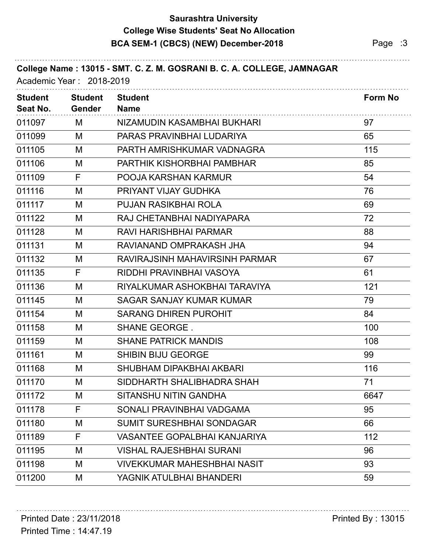## **Saurashtra University BCA SEM-1 (CBCS) (NEW) December-2018** Page :3 **College Wise Students' Seat No Allocation**

| College Name: 13015 - SMT. C. Z. M. GOSRANI B. C. A. COLLEGE, JAMNAGAR<br>Academic Year: 2018-2019 |                                 |                                     |                |
|----------------------------------------------------------------------------------------------------|---------------------------------|-------------------------------------|----------------|
| <b>Student</b><br>Seat No.                                                                         | <b>Student</b><br><b>Gender</b> | <b>Student</b><br><b>Name</b>       | <b>Form No</b> |
| 011097                                                                                             | M                               | NIZAMUDIN KASAMBHAI BUKHARI         | 97             |
| 011099                                                                                             | M                               | PARAS PRAVINBHAI LUDARIYA           | 65             |
| 011105                                                                                             | M                               | PARTH AMRISHKUMAR VADNAGRA          | 115            |
| 011106                                                                                             | M                               | PARTHIK KISHORBHAI PAMBHAR          | 85             |
| 011109                                                                                             | F                               | POOJA KARSHAN KARMUR                | 54             |
| 011116                                                                                             | M                               | PRIYANT VIJAY GUDHKA                | 76             |
| 011117                                                                                             | M                               | <b>PUJAN RASIKBHAI ROLA</b>         | 69             |
| 011122                                                                                             | M                               | RAJ CHETANBHAI NADIYAPARA           | 72             |
| 011128                                                                                             | M                               | RAVI HARISHBHAI PARMAR              | 88             |
| 011131                                                                                             | M                               | RAVIANAND OMPRAKASH JHA             | 94             |
| 011132                                                                                             | M                               | RAVIRAJSINH MAHAVIRSINH PARMAR      | 67             |
| 011135                                                                                             | F                               | RIDDHI PRAVINBHAI VASOYA            | 61             |
| 011136                                                                                             | M                               | RIYALKUMAR ASHOKBHAI TARAVIYA       | 121            |
| 011145                                                                                             | M                               | <b>SAGAR SANJAY KUMAR KUMAR</b>     | 79             |
| 011154                                                                                             | M                               | <b>SARANG DHIREN PUROHIT</b>        | 84             |
| 011158                                                                                             | M                               | <b>SHANE GEORGE.</b>                | 100            |
| 011159                                                                                             | M                               | <b>SHANE PATRICK MANDIS</b>         | 108            |
| 011161                                                                                             | M                               | <b>SHIBIN BIJU GEORGE</b>           | 99             |
| 011168                                                                                             | M                               | SHUBHAM DIPAKBHAI AKBARI            | 116            |
| 011170                                                                                             | M                               | SIDDHARTH SHALIBHADRA SHAH          | 71             |
| 011172                                                                                             | M                               | SITANSHU NITIN GANDHA               | 6647           |
| 011178                                                                                             | F                               | SONALI PRAVINBHAI VADGAMA           | 95             |
| 011180                                                                                             | M                               | <b>SUMIT SURESHBHAI SONDAGAR</b>    | 66             |
| 011189                                                                                             | F                               | <b>VASANTEE GOPALBHAI KANJARIYA</b> | 112            |
| 011195                                                                                             | M                               | <b>VISHAL RAJESHBHAI SURANI</b>     | 96             |
| 011198                                                                                             | M                               | <b>VIVEKKUMAR MAHESHBHAI NASIT</b>  | 93             |
| 011200                                                                                             | M                               | YAGNIK ATULBHAI BHANDERI            | 59             |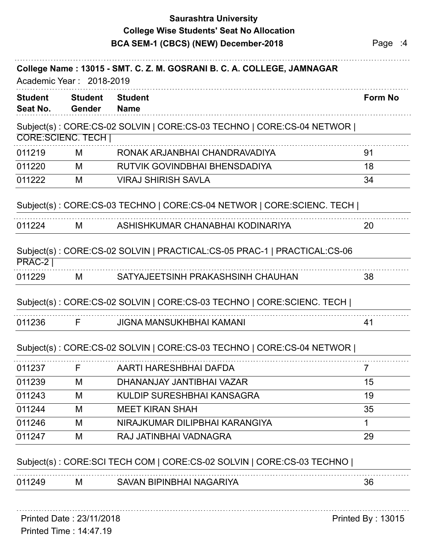## **Saurashtra University BCA SEM-1 (CBCS) (NEW) December-2018** Page :4 **College Wise Students' Seat No Allocation**

| <b>Student</b><br>Seat No. | <b>Student</b><br><b>Gender</b> | <b>Student</b><br><b>Name</b>                                            | <b>Form No</b> |
|----------------------------|---------------------------------|--------------------------------------------------------------------------|----------------|
|                            |                                 | Subject(s): CORE:CS-02 SOLVIN   CORE:CS-03 TECHNO   CORE:CS-04 NETWOR    |                |
|                            | <b>CORE:SCIENC. TECH  </b>      |                                                                          |                |
| 011219                     | M                               | RONAK ARJANBHAI CHANDRAVADIYA                                            | 91             |
| 011220                     | M                               | RUTVIK GOVINDBHAI BHENSDADIYA                                            | 18             |
| 011222                     | M                               | <b>VIRAJ SHIRISH SAVLA</b>                                               | 34             |
|                            |                                 | Subject(s): CORE:CS-03 TECHNO   CORE:CS-04 NETWOR   CORE:SCIENC. TECH    |                |
| 011224                     | M                               | ASHISHKUMAR CHANABHAI KODINARIYA                                         | 20             |
| <b>PRAC-2</b>              |                                 | Subject(s): CORE:CS-02 SOLVIN   PRACTICAL:CS-05 PRAC-1   PRACTICAL:CS-06 |                |
| 011229                     | M                               | SATYAJEETSINH PRAKASHSINH CHAUHAN                                        | 38             |
|                            |                                 | Subject(s): CORE:CS-02 SOLVIN   CORE:CS-03 TECHNO   CORE:SCIENC. TECH    |                |
| 011236                     | F.                              | <b>JIGNA MANSUKHBHAI KAMANI</b>                                          | 41             |
|                            |                                 | Subject(s): CORE:CS-02 SOLVIN   CORE:CS-03 TECHNO   CORE:CS-04 NETWOR    |                |
| 011237                     | F.                              | AARTI HARESHBHAI DAFDA                                                   | 7              |
| 011239                     | M                               | DHANANJAY JANTIBHAI VAZAR                                                | 15             |
| 011243                     | M                               | KULDIP SURESHBHAI KANSAGRA                                               | 19             |
| 011244                     | M                               | <b>MEET KIRAN SHAH</b>                                                   | 35             |
| 011246                     | M                               | NIRAJKUMAR DILIPBHAI KARANGIYA                                           | 1              |
| 011247                     | M                               | RAJ JATINBHAI VADNAGRA                                                   | 29             |
|                            |                                 | Subject(s): CORE:SCI TECH COM   CORE:CS-02 SOLVIN   CORE:CS-03 TECHNO    |                |
| 011249                     | M                               | SAVAN BIPINBHAI NAGARIYA                                                 | 36             |

Printed Time : 14:47.19 Printed Date : 23/11/2018 **Printed By : 13015**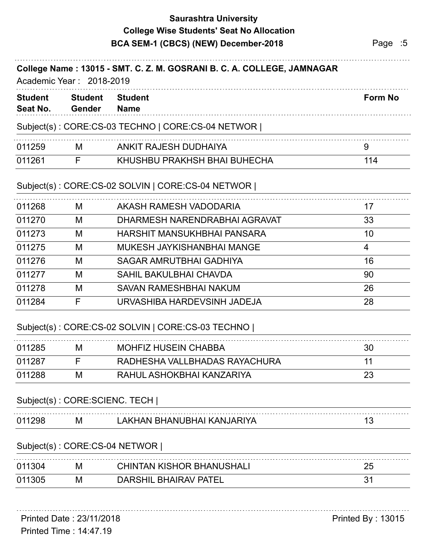## **Saurashtra University BCA SEM-1 (CBCS) (NEW) December-2018** Page :5 **College Wise Students' Seat No Allocation**

| <b>Student</b> | <b>Student</b> | <b>Student</b>                                    | <b>Form No</b>  |
|----------------|----------------|---------------------------------------------------|-----------------|
| Seat No.       | <b>Gender</b>  | <b>Name</b>                                       |                 |
|                |                | Subject(s): CORE:CS-03 TECHNO   CORE:CS-04 NETWOR |                 |
| 011259         | M              | ANKIT RAJESH DUDHAIYA                             | 9               |
| 011261         | F              | KHUSHBU PRAKHSH BHAI BUHECHA                      | 114             |
|                |                | Subject(s): CORE:CS-02 SOLVIN   CORE:CS-04 NETWOR |                 |
| 011268         | M              | AKASH RAMESH VADODARIA                            | 17              |
| 011270         | M              | DHARMESH NARENDRABHAI AGRAVAT                     | 33              |
| 011273         | M              | HARSHIT MANSUKHBHAI PANSARA                       | 10 <sup>°</sup> |
| 011275         | M              | MUKESH JAYKISHANBHAI MANGE                        | 4               |
| 011276         | M              | <b>SAGAR AMRUTBHAI GADHIYA</b>                    | 16              |
| 011277         | M              | <b>SAHIL BAKULBHAI CHAVDA</b>                     | 90              |
| 011278         | M              | <b>SAVAN RAMESHBHAI NAKUM</b>                     | 26              |
| 011284         | F              | URVASHIBA HARDEVSINH JADEJA                       | 28              |
|                |                | Subject(s): CORE:CS-02 SOLVIN   CORE:CS-03 TECHNO |                 |
| 011285         | М              | <b>MOHFIZ HUSEIN CHABBA</b>                       | 30              |
| 011287         | F              | RADHESHA VALLBHADAS RAYACHURA                     | 11              |
| 011288         | M              | RAHUL ASHOKBHAI KANZARIYA                         | 23              |
|                |                | Subject(s): CORE:SCIENC. TECH                     |                 |
| 011298         | M              | LAKHAN BHANUBHAI KANJARIYA                        | 13              |
|                |                | Subject(s): CORE:CS-04 NETWOR                     |                 |
| 011304         | M              | <b>CHINTAN KISHOR BHANUSHALI</b>                  | 25              |
| 011305         | M              | <b>DARSHIL BHAIRAV PATEL</b>                      | 31              |